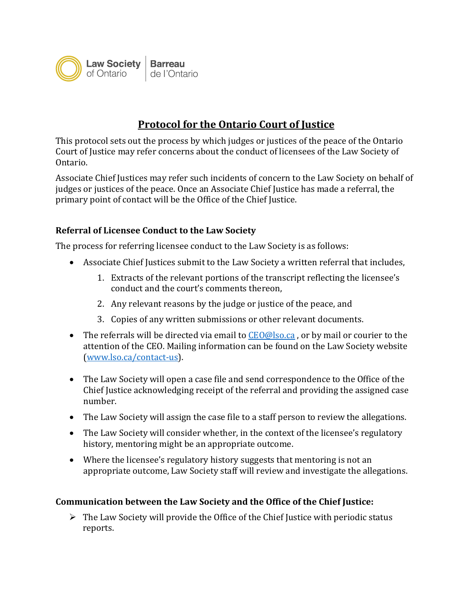

## **Protocol for the Ontario Court of Justice**

This protocol sets out the process by which judges or justices of the peace of the Ontario Court of Justice may refer concerns about the conduct of licensees of the Law Society of Ontario.

Associate Chief Justices may refer such incidents of concern to the Law Society on behalf of judges or justices of the peace. Once an Associate Chief Justice has made a referral, the primary point of contact will be the Office of the Chief Justice.

## **Referral of Licensee Conduct to the Law Society**

The process for referring licensee conduct to the Law Society is as follows:

- Associate Chief Justices submit to the Law Society a written referral that includes,
	- 1. Extracts of the relevant portions of the transcript reflecting the licensee's conduct and the court's comments thereon,
	- 2. Any relevant reasons by the judge or justice of the peace, and
	- 3. Copies of any written submissions or other relevant documents.
- The referrals will be directed via email to  $CEO@$  lso.ca, or by mail or courier to the attention of the CEO. Mailing information can be found on the Law Society website [\(www.lso.ca/contact-us\)](http://www.lso.ca/contact-us).
- The Law Society will open a case file and send correspondence to the Office of the Chief Justice acknowledging receipt of the referral and providing the assigned case number.
- The Law Society will assign the case file to a staff person to review the allegations.
- The Law Society will consider whether, in the context of the licensee's regulatory history, mentoring might be an appropriate outcome.
- Where the licensee's regulatory history suggests that mentoring is not an appropriate outcome, Law Society staff will review and investigate the allegations.

## **Communication between the Law Society and the Office of the Chief Justice:**

 $\triangleright$  The Law Society will provide the Office of the Chief Justice with periodic status reports.